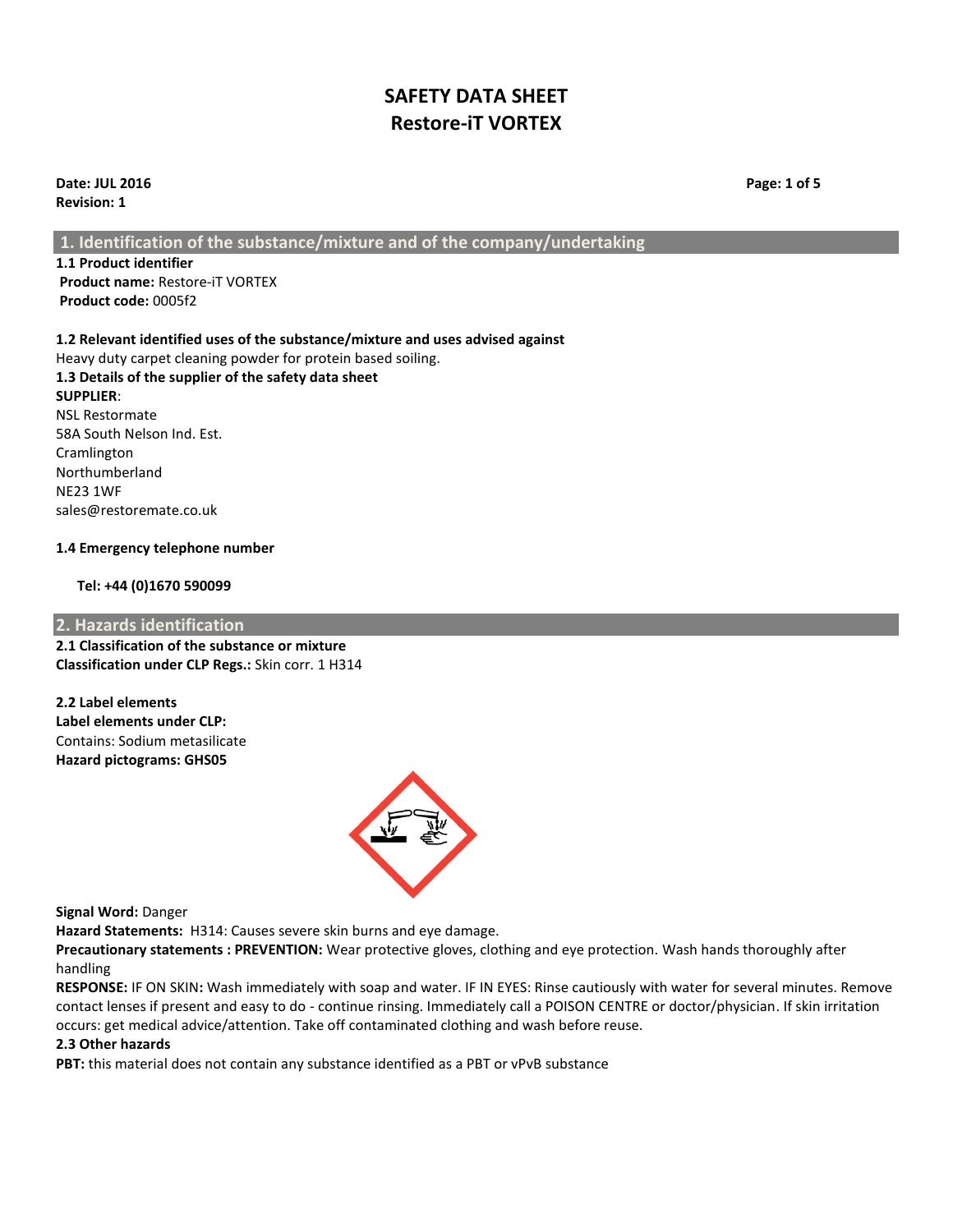**Date: JUL 2016 Page: 1 of 5 Revision: 1**

**1. Identification of the substance/mixture and of the company/undertaking**

**1.1 Product identifier Product name:** Restore-iT VORTEX **Product code:** 0005f2

## **1.2 Relevant identified uses of the substance/mixture and uses advised against**

Heavy duty carpet cleaning powder for protein based soiling. **1.3 Details of the supplier of the safety data sheet SUPPLIER**: NSL Restormate 58A South Nelson Ind. Est. Cramlington Northumberland NE23 1WF sales@restoremate.co.uk

#### **1.4 Emergency telephone number**

#### **Tel: +44 (0)1670 590099**

#### **2. Hazards identification**

**2.1 Classification of the substance or mixture Classification under CLP Regs.:** Skin corr. 1 H314

**2.2 Label elements Label elements under CLP:** Contains: Sodium metasilicate **Hazard pictograms: GHS05**



**Signal Word:** Danger

**Hazard Statements:** H314: Causes severe skin burns and eye damage.

**Precautionary statements : PREVENTION:** Wear protective gloves, clothing and eye protection. Wash hands thoroughly after handling

**RESPONSE:** IF ON SKIN**:** Wash immediately with soap and water. IF IN EYES: Rinse cautiously with water for several minutes. Remove contact lenses if present and easy to do - continue rinsing. Immediately call a POISON CENTRE or doctor/physician. If skin irritation occurs: get medical advice/attention. Take off contaminated clothing and wash before reuse.

#### **2.3 Other hazards**

**PBT:** this material does not contain any substance identified as a PBT or vPvB substance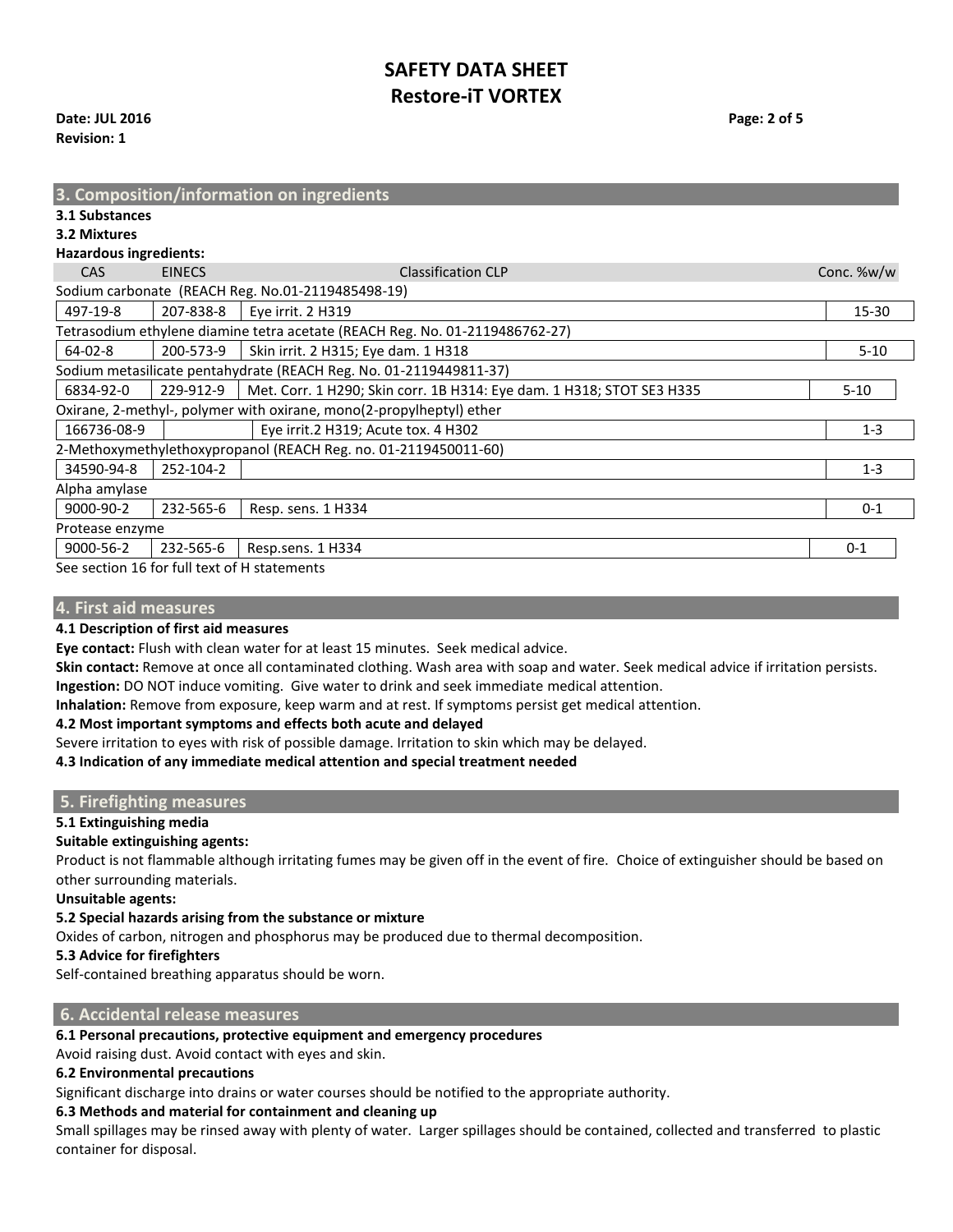## **Date: JUL 2016 Page: 2 of 5 Revision: 1**

| 3.1 Substances<br>3.2 Mixtures<br><b>Hazardous ingredients:</b><br>Conc. %w/w<br><b>Classification CLP</b><br><b>CAS</b><br><b>EINECS</b><br>Sodium carbonate (REACH Reg. No.01-2119485498-19)<br>497-19-8<br>207-838-8<br>Eye irrit. 2 H319<br>$15 - 30$<br>Tetrasodium ethylene diamine tetra acetate (REACH Reg. No. 01-2119486762-27)<br>$64 - 02 - 8$<br>200-573-9<br>Skin irrit. 2 H315; Eye dam. 1 H318<br>$5 - 10$<br>Sodium metasilicate pentahydrate (REACH Reg. No. 01-2119449811-37)<br>6834-92-0<br>229-912-9<br>Met. Corr. 1 H290; Skin corr. 1B H314: Eye dam. 1 H318; STOT SE3 H335<br>$5 - 10$<br>Oxirane, 2-methyl-, polymer with oxirane, mono(2-propylheptyl) ether<br>166736-08-9<br>Eye irrit.2 H319; Acute tox. 4 H302<br>$1 - 3$<br>2-Methoxymethylethoxypropanol (REACH Reg. no. 01-2119450011-60)<br>34590-94-8<br>252-104-2<br>$1 - 3$<br>Alpha amylase<br>9000-90-2<br>232-565-6<br>$0 - 1$<br>Resp. sens. 1 H334<br>Protease enzyme | 3. Composition/information on ingredients |  |  |  |  |  |  |
|------------------------------------------------------------------------------------------------------------------------------------------------------------------------------------------------------------------------------------------------------------------------------------------------------------------------------------------------------------------------------------------------------------------------------------------------------------------------------------------------------------------------------------------------------------------------------------------------------------------------------------------------------------------------------------------------------------------------------------------------------------------------------------------------------------------------------------------------------------------------------------------------------------------------------------------------------------------|-------------------------------------------|--|--|--|--|--|--|
|                                                                                                                                                                                                                                                                                                                                                                                                                                                                                                                                                                                                                                                                                                                                                                                                                                                                                                                                                                  |                                           |  |  |  |  |  |  |
|                                                                                                                                                                                                                                                                                                                                                                                                                                                                                                                                                                                                                                                                                                                                                                                                                                                                                                                                                                  |                                           |  |  |  |  |  |  |
|                                                                                                                                                                                                                                                                                                                                                                                                                                                                                                                                                                                                                                                                                                                                                                                                                                                                                                                                                                  |                                           |  |  |  |  |  |  |
|                                                                                                                                                                                                                                                                                                                                                                                                                                                                                                                                                                                                                                                                                                                                                                                                                                                                                                                                                                  |                                           |  |  |  |  |  |  |
|                                                                                                                                                                                                                                                                                                                                                                                                                                                                                                                                                                                                                                                                                                                                                                                                                                                                                                                                                                  |                                           |  |  |  |  |  |  |
|                                                                                                                                                                                                                                                                                                                                                                                                                                                                                                                                                                                                                                                                                                                                                                                                                                                                                                                                                                  |                                           |  |  |  |  |  |  |
|                                                                                                                                                                                                                                                                                                                                                                                                                                                                                                                                                                                                                                                                                                                                                                                                                                                                                                                                                                  |                                           |  |  |  |  |  |  |
|                                                                                                                                                                                                                                                                                                                                                                                                                                                                                                                                                                                                                                                                                                                                                                                                                                                                                                                                                                  |                                           |  |  |  |  |  |  |
|                                                                                                                                                                                                                                                                                                                                                                                                                                                                                                                                                                                                                                                                                                                                                                                                                                                                                                                                                                  |                                           |  |  |  |  |  |  |
|                                                                                                                                                                                                                                                                                                                                                                                                                                                                                                                                                                                                                                                                                                                                                                                                                                                                                                                                                                  |                                           |  |  |  |  |  |  |
|                                                                                                                                                                                                                                                                                                                                                                                                                                                                                                                                                                                                                                                                                                                                                                                                                                                                                                                                                                  |                                           |  |  |  |  |  |  |
|                                                                                                                                                                                                                                                                                                                                                                                                                                                                                                                                                                                                                                                                                                                                                                                                                                                                                                                                                                  |                                           |  |  |  |  |  |  |
|                                                                                                                                                                                                                                                                                                                                                                                                                                                                                                                                                                                                                                                                                                                                                                                                                                                                                                                                                                  |                                           |  |  |  |  |  |  |
|                                                                                                                                                                                                                                                                                                                                                                                                                                                                                                                                                                                                                                                                                                                                                                                                                                                                                                                                                                  |                                           |  |  |  |  |  |  |
|                                                                                                                                                                                                                                                                                                                                                                                                                                                                                                                                                                                                                                                                                                                                                                                                                                                                                                                                                                  |                                           |  |  |  |  |  |  |
|                                                                                                                                                                                                                                                                                                                                                                                                                                                                                                                                                                                                                                                                                                                                                                                                                                                                                                                                                                  |                                           |  |  |  |  |  |  |
|                                                                                                                                                                                                                                                                                                                                                                                                                                                                                                                                                                                                                                                                                                                                                                                                                                                                                                                                                                  |                                           |  |  |  |  |  |  |
| 9000-56-2<br>232-565-6<br>Resp.sens. 1 H334<br>$0 - 1$                                                                                                                                                                                                                                                                                                                                                                                                                                                                                                                                                                                                                                                                                                                                                                                                                                                                                                           |                                           |  |  |  |  |  |  |

See section 16 for full text of H statements

## **4. First aid measures**

**4.1 Description of first aid measures**

**Eye contact:** Flush with clean water for at least 15 minutes. Seek medical advice.

**Skin contact:** Remove at once all contaminated clothing. Wash area with soap and water. Seek medical advice if irritation persists. **Ingestion:** DO NOT induce vomiting. Give water to drink and seek immediate medical attention.

**Inhalation:** Remove from exposure, keep warm and at rest. If symptoms persist get medical attention.

#### **4.2 Most important symptoms and effects both acute and delayed**

Severe irritation to eyes with risk of possible damage. Irritation to skin which may be delayed.

**4.3 Indication of any immediate medical attention and special treatment needed**

## **5. Firefighting measures**

## **5.1 Extinguishing media**

## **Suitable extinguishing agents:**

Product is not flammable although irritating fumes may be given off in the event of fire. Choice of extinguisher should be based on other surrounding materials.

**Unsuitable agents:**

#### **5.2 Special hazards arising from the substance or mixture**

Oxides of carbon, nitrogen and phosphorus may be produced due to thermal decomposition.

**5.3 Advice for firefighters**

Self-contained breathing apparatus should be worn.

## **6. Accidental release measures**

## **6.1 Personal precautions, protective equipment and emergency procedures**

Avoid raising dust. Avoid contact with eyes and skin.

#### **6.2 Environmental precautions**

Significant discharge into drains or water courses should be notified to the appropriate authority.

## **6.3 Methods and material for containment and cleaning up**

Small spillages may be rinsed away with plenty of water. Larger spillages should be contained, collected and transferred to plastic container for disposal.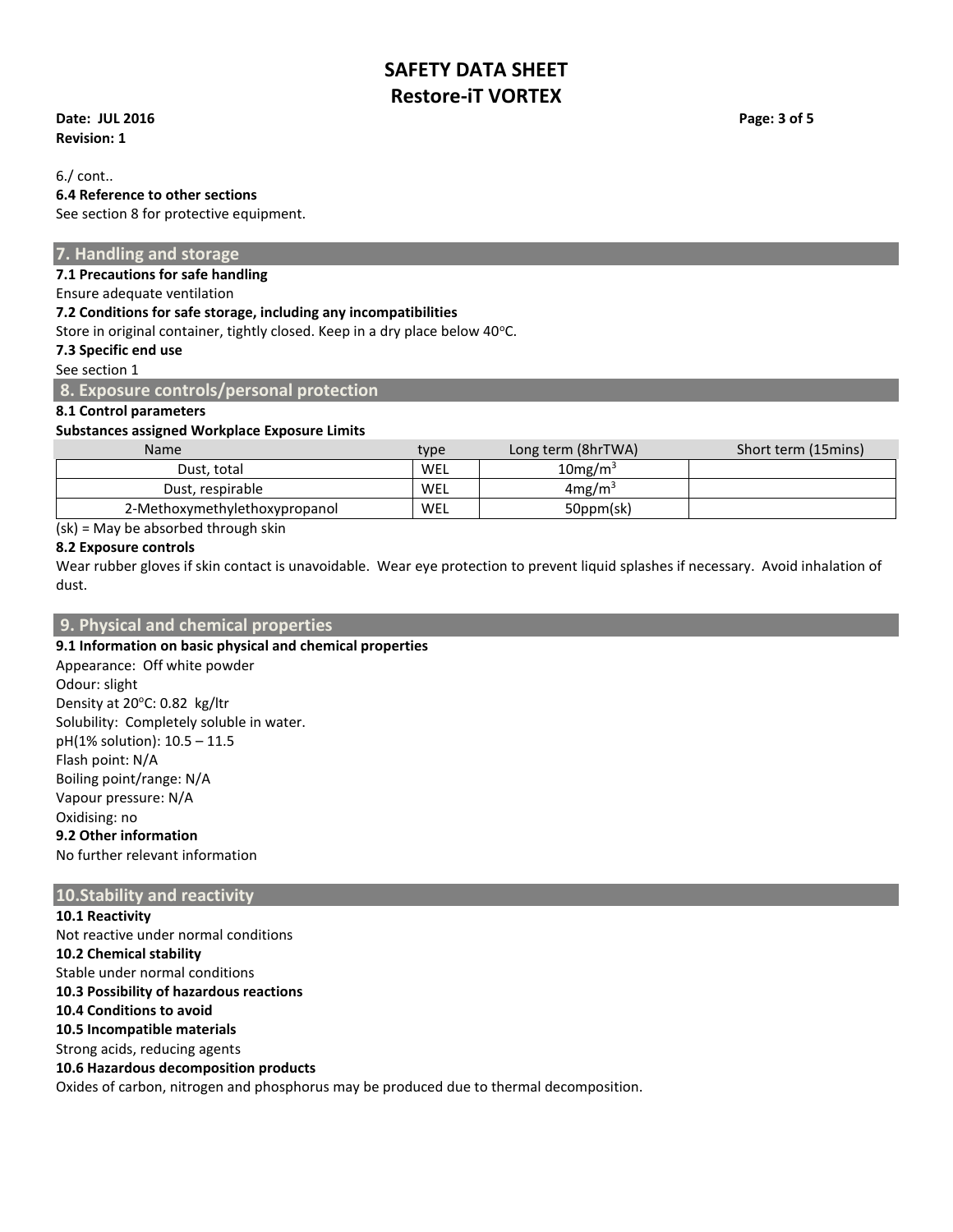**Date: JUL 2016 Page: 3 of 5 Revision: 1**

6./ cont..

## **6.4 Reference to other sections**

See section 8 for protective equipment.

## **7. Handling and storage**

**7.1 Precautions for safe handling**

Ensure adequate ventilation

#### **7.2 Conditions for safe storage, including any incompatibilities**

Store in original container, tightly closed. Keep in a dry place below 40°C.

## **7.3 Specific end use**

See section 1

#### **8. Exposure controls/personal protection**

## **8.1 Control parameters**

#### **Substances assigned Workplace Exposure Limits**

| <b>Name</b>                   | type | Long term (8hrTWA)     | Short term (15mins) |
|-------------------------------|------|------------------------|---------------------|
| Dust. total                   | WEL  | $10$ mg/m <sup>3</sup> |                     |
| Dust. respirable              | WEL  | 4mg/m <sup>3</sup>     |                     |
| 2-Methoxymethylethoxypropanol | WEL  | 50ppm(sk)              |                     |

(sk) = May be absorbed through skin

#### **8.2 Exposure controls**

Wear rubber gloves if skin contact is unavoidable. Wear eye protection to prevent liquid splashes if necessary. Avoid inhalation of dust.

## **9. Physical and chemical properties**

**9.1 Information on basic physical and chemical properties**  Appearance: Off white powder Odour: slight Density at 20°C: 0.82 kg/ltr Solubility: Completely soluble in water. pH(1% solution): 10.5 – 11.5 Flash point: N/A Boiling point/range: N/A Vapour pressure: N/A Oxidising: no **9.2 Other information** No further relevant information

## **10.Stability and reactivity**

**10.1 Reactivity** Not reactive under normal conditions **10.2 Chemical stability** Stable under normal conditions **10.3 Possibility of hazardous reactions 10.4 Conditions to avoid 10.5 Incompatible materials** Strong acids, reducing agents **10.6 Hazardous decomposition products** Oxides of carbon, nitrogen and phosphorus may be produced due to thermal decomposition.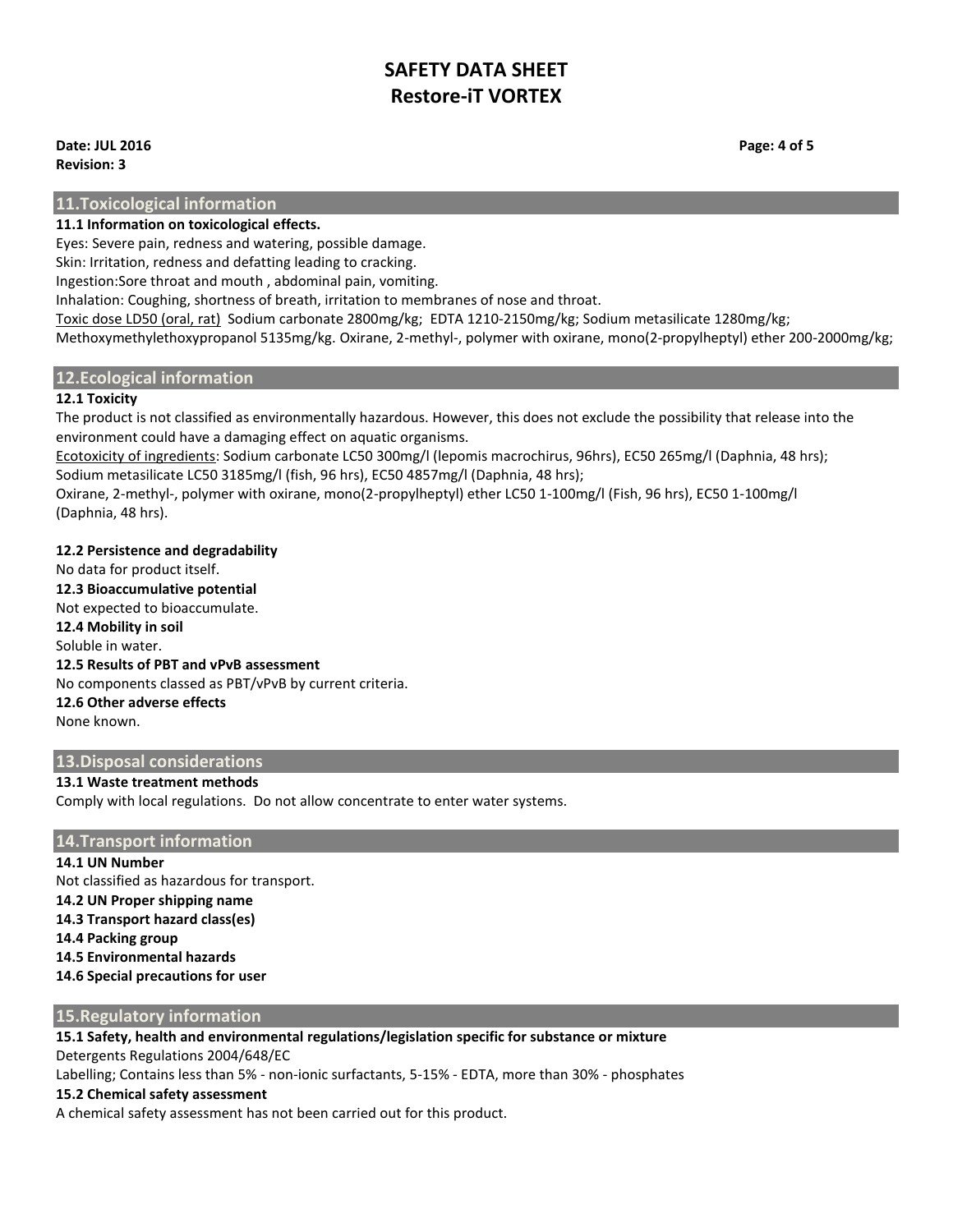#### **Date: JUL 2016 Page: 4 of 5 Revision: 3**

**11.Toxicological information**

## **11.1 Information on toxicological effects.**

Eyes: Severe pain, redness and watering, possible damage.

Skin: Irritation, redness and defatting leading to cracking.

Ingestion:Sore throat and mouth , abdominal pain, vomiting.

Inhalation: Coughing, shortness of breath, irritation to membranes of nose and throat.

Toxic dose LD50 (oral, rat) Sodium carbonate 2800mg/kg; EDTA 1210-2150mg/kg; Sodium metasilicate 1280mg/kg; Methoxymethylethoxypropanol 5135mg/kg. Oxirane, 2-methyl-, polymer with oxirane, mono(2-propylheptyl) ether 200-2000mg/kg;

## **12.Ecological information**

## **12.1 Toxicity**

The product is not classified as environmentally hazardous. However, this does not exclude the possibility that release into the environment could have a damaging effect on aquatic organisms.

Ecotoxicity of ingredients: Sodium carbonate LC50 300mg/l (lepomis macrochirus, 96hrs), EC50 265mg/l (Daphnia, 48 hrs); Sodium metasilicate LC50 3185mg/l (fish, 96 hrs), EC50 4857mg/l (Daphnia, 48 hrs);

Oxirane, 2-methyl-, polymer with oxirane, mono(2-propylheptyl) ether LC50 1-100mg/l (Fish, 96 hrs), EC50 1-100mg/l (Daphnia, 48 hrs).

## **12.2 Persistence and degradability**

No data for product itself. **12.3 Bioaccumulative potential** Not expected to bioaccumulate. **12.4 Mobility in soil** Soluble in water. **12.5 Results of PBT and vPvB assessment** No components classed as PBT/vPvB by current criteria. **12.6 Other adverse effects** None known.

## **13.Disposal considerations**

## **13.1 Waste treatment methods**

Comply with local regulations. Do not allow concentrate to enter water systems.

## **14.Transport information**

**14.1 UN Number** Not classified as hazardous for transport. **14.2 UN Proper shipping name 14.3 Transport hazard class(es) 14.4 Packing group 14.5 Environmental hazards 14.6 Special precautions for user**

## **15.Regulatory information**

**15.1 Safety, health and environmental regulations/legislation specific for substance or mixture** Detergents Regulations 2004/648/EC

Labelling; Contains less than 5% - non-ionic surfactants, 5-15% - EDTA, more than 30% - phosphates

## **15.2 Chemical safety assessment**

A chemical safety assessment has not been carried out for this product.